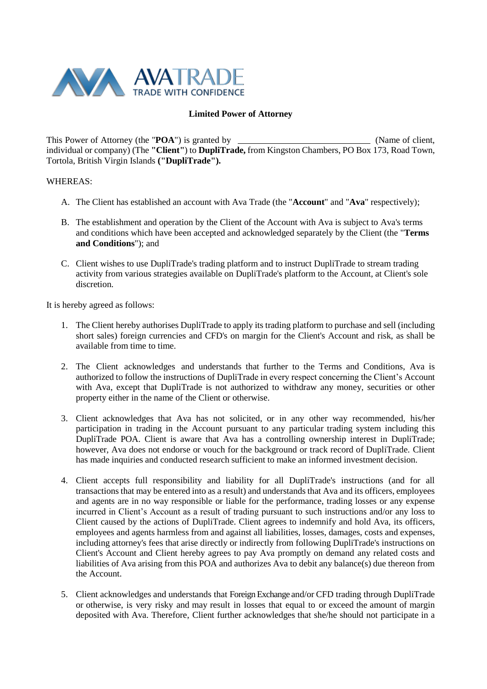

## **Limited Power of Attorney**

This Power of Attorney (the "**POA**") is granted by (Name of client, individual or company) (The **"Client"**) to **DupliTrade,** from Kingston Chambers, PO Box 173, Road Town, Tortola, British Virgin Islands **("DupliTrade").**

## WHEREAS:

- A. The Client has established an account with Ava Trade (the "**Account**" and "**Ava**" respectively);
- B. The establishment and operation by the Client of the Account with Ava is subject to Ava's terms and conditions which have been accepted and acknowledged separately by the Client (the "**Terms and Conditions**"); and
- C. Client wishes to use DupliTrade's trading platform and to instruct DupliTrade to stream trading activity from various strategies available on DupliTrade's platform to the Account, at Client's sole discretion.

It is hereby agreed as follows:

- 1. The Client hereby authorises DupliTrade to apply its trading platform to purchase and sell (including short sales) foreign currencies and CFD's on margin for the Client's Account and risk, as shall be available from time to time.
- 2. The Client acknowledges and understands that further to the Terms and Conditions, Ava is authorized to follow the instructions of DupliTrade in every respect concerning the Client's Account with Ava, except that DupliTrade is not authorized to withdraw any money, securities or other property either in the name of the Client or otherwise.
- 3. Client acknowledges that Ava has not solicited, or in any other way recommended, his/her participation in trading in the Account pursuant to any particular trading system including this DupliTrade POA. Client is aware that Ava has a controlling ownership interest in DupliTrade; however, Ava does not endorse or vouch for the background or track record of DupliTrade. Client has made inquiries and conducted research sufficient to make an informed investment decision.
- 4. Client accepts full responsibility and liability for all DupliTrade's instructions (and for all transactions that may be entered into as a result) and understands that Ava and its officers, employees and agents are in no way responsible or liable for the performance, trading losses or any expense incurred in Client's Account as a result of trading pursuant to such instructions and/or any loss to Client caused by the actions of DupliTrade. Client agrees to indemnify and hold Ava, its officers, employees and agents harmless from and against all liabilities, losses, damages, costs and expenses, including attorney's fees that arise directly or indirectly from following DupliTrade's instructions on Client's Account and Client hereby agrees to pay Ava promptly on demand any related costs and liabilities of Ava arising from this POA and authorizes Ava to debit any balance(s) due thereon from the Account.
- 5. Client acknowledges and understands that Foreign Exchange and/or CFD trading through DupliTrade or otherwise, is very risky and may result in losses that equal to or exceed the amount of margin deposited with Ava. Therefore, Client further acknowledges that she/he should not participate in a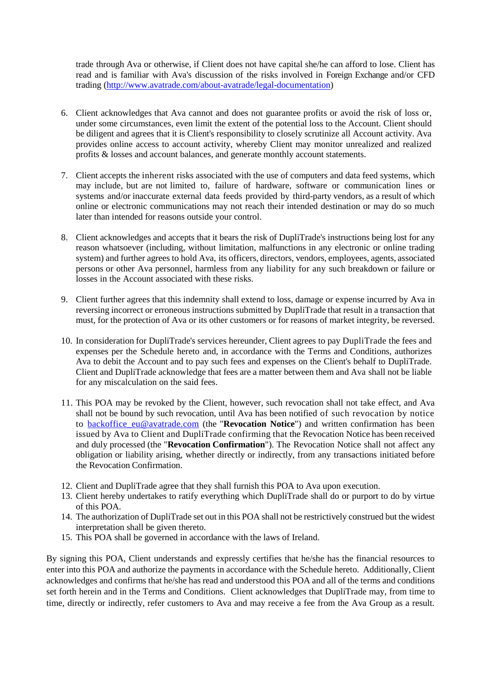trade through Ava or otherwise, if Client does not have capital she/he can afford to lose. Client has read and is familiar with Ava's discussion of the risks involved in Foreign Exchange and/or CFD trading [\(http://www.avatrade.com/about-avatrade/legal-documentation\)](http://www.avatrade.com/about-avatrade/legal-documentation)

- 6. Client acknowledges that Ava cannot and does not guarantee profits or avoid the risk of loss or, under some circumstances, even limit the extent of the potential loss to the Account. Client should be diligent and agrees that it is Client's responsibility to closely scrutinize all Account activity. Ava provides online access to account activity, whereby Client may monitor unrealized and realized profits & losses and account balances, and generate monthly account statements.
- 7. Client accepts the inherent risks associated with the use of computers and data feed systems, which may include, but are not limited to, failure of hardware, software or communication lines or systems and/or inaccurate external data feeds provided by third-party vendors, as a result of which online or electronic communications may not reach their intended destination or may do so much later than intended for reasons outside your control.
- 8. Client acknowledges and accepts that it bears the risk of DupliTrade's instructions being lost for any reason whatsoever (including, without limitation, malfunctions in any electronic or online trading system) and further agrees to hold Ava, its officers, directors, vendors, employees, agents, associated persons or other Ava personnel, harmless from any liability for any such breakdown or failure or losses in the Account associated with these risks.
- 9. Client further agrees that this indemnity shall extend to loss, damage or expense incurred by Ava in reversing incorrect or erroneous instructions submitted by DupliTrade that result in a transaction that must, for the protection of Ava or its other customers or for reasons of market integrity, be reversed.
- 10. In consideration for DupliTrade's services hereunder, Client agrees to pay DupliTrade the fees and expenses per the Schedule hereto and, in accordance with the Terms and Conditions, authorizes Ava to debit the Account and to pay such fees and expenses on the Client's behalf to DupliTrade. Client and DupliTrade acknowledge that fees are a matter between them and Ava shall not be liable for any miscalculation on the said fees.
- 11. This POA may be revoked by the Client, however, such revocation shall not take effect, and Ava shall not be bound by such revocation, until Ava has been notified of such revocation by notice to [backoffice\\_eu@avatrade.com](mailto:backoffice_eu@avatrade.com) (the "**Revocation Notice**") and written confirmation has been issued by Ava to Client and DupliTrade confirming that the Revocation Notice has been received and duly processed (the "**Revocation Confirmation**"). The Revocation Notice shall not affect any obligation or liability arising, whether directly or indirectly, from any transactions initiated before the Revocation Confirmation.
- 12. Client and DupliTrade agree that they shall furnish this POA to Ava upon execution.
- 13. Client hereby undertakes to ratify everything which DupliTrade shall do or purport to do by virtue of this POA.
- 14. The authorization of DupliTrade set out in this POA shall not be restrictively construed but the widest interpretation shall be given thereto.
- 15. This POA shall be governed in accordance with the laws of Ireland.

By signing this POA, Client understands and expressly certifies that he/she has the financial resources to enter into this POA and authorize the payments in accordance with the Schedule hereto. Additionally, Client acknowledges and confirms that he/she has read and understood this POA and all of the terms and conditions set forth herein and in the Terms and Conditions. Client acknowledges that DupliTrade may, from time to time, directly or indirectly, refer customers to Ava and may receive a fee from the Ava Group as a result.